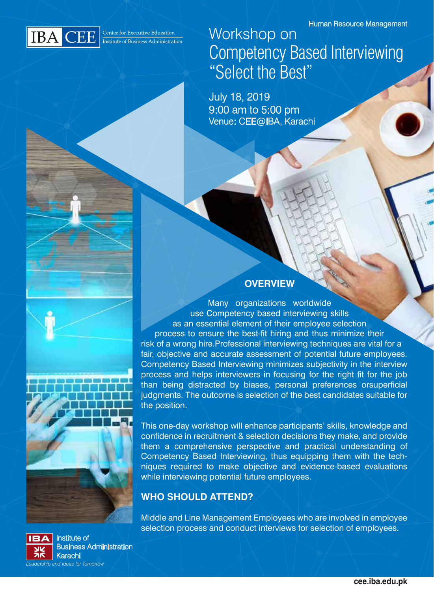

Workshop on Competency Based Interviewing "Select the Best"

July 18, 2019 9:00 am to 5:00 pm Venue: CEE@IBA, Karachi

### **OVERVIEW**

Many organizations worldwide use Competency based interviewing skills as an essential element of their employee selection process to ensure the best-fit hiring and thus minimize their risk of a wrong hire.Professional interviewing techniques are vital for a fair, objective and accurate assessment of potential future employees. Competency Based Interviewing minimizes subjectivity in the interview process and helps interviewers in focusing for the right fit for the job than being distracted by biases, personal preferences orsuperficial judgments. The outcome is selection of the best candidates suitable for the position.

This one-day workshop will enhance participants' skills, knowledge and confidence in recruitment & selection decisions they make, and provide them a comprehensive perspective and practical understanding of Competency Based Interviewing, thus equipping them with the techniques required to make objective and evidence-based evaluations while interviewing potential future employees.

### **WHO SHOULD ATTEND?**

Middle and Line Management Employees who are involved in employee selection process and conduct interviews for selection of employees.



Institute of Business Administration Karachi *Leadership and Ideas for Tomorrow*